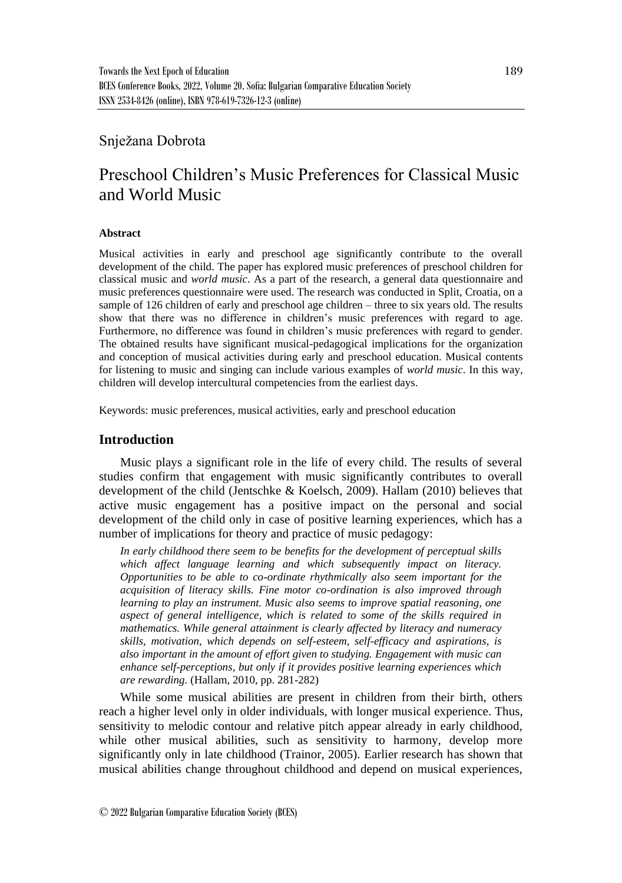# Snježana Dobrota

# Preschool Children's Music Preferences for Classical Music and World Music

### **Abstract**

Musical activities in early and preschool age significantly contribute to the overall development of the child. The paper has explored music preferences of preschool children for classical music and *world music*. As a part of the research, a general data questionnaire and music preferences questionnaire were used. The research was conducted in Split, Croatia, on a sample of 126 children of early and preschool age children – three to six years old. The results show that there was no difference in children's music preferences with regard to age. Furthermore, no difference was found in children's music preferences with regard to gender. The obtained results have significant musical-pedagogical implications for the organization and conception of musical activities during early and preschool education. Musical contents for listening to music and singing can include various examples of *world music*. In this way, children will develop intercultural competencies from the earliest days.

Keywords: music preferences, musical activities, early and preschool education

### **Introduction**

Music plays a significant role in the life of every child. The results of several studies confirm that engagement with music significantly contributes to overall development of the child (Jentschke & Koelsch, 2009). Hallam (2010) believes that active music engagement has a positive impact on the personal and social development of the child only in case of positive learning experiences, which has a number of implications for theory and practice of music pedagogy:

*In early childhood there seem to be benefits for the development of perceptual skills which affect language learning and which subsequently impact on literacy. Opportunities to be able to co-ordinate rhythmically also seem important for the acquisition of literacy skills. Fine motor co-ordination is also improved through learning to play an instrument. Music also seems to improve spatial reasoning, one aspect of general intelligence, which is related to some of the skills required in mathematics. While general attainment is clearly affected by literacy and numeracy skills, motivation, which depends on self-esteem, self-efficacy and aspirations, is also important in the amount of effort given to studying. Engagement with music can enhance self-perceptions, but only if it provides positive learning experiences which are rewarding.* (Hallam, 2010, pp. 281-282)

While some musical abilities are present in children from their birth, others reach a higher level only in older individuals, with longer musical experience. Thus, sensitivity to melodic contour and relative pitch appear already in early childhood, while other musical abilities, such as sensitivity to harmony, develop more significantly only in late childhood (Trainor, 2005). Earlier research has shown that musical abilities change throughout childhood and depend on musical experiences,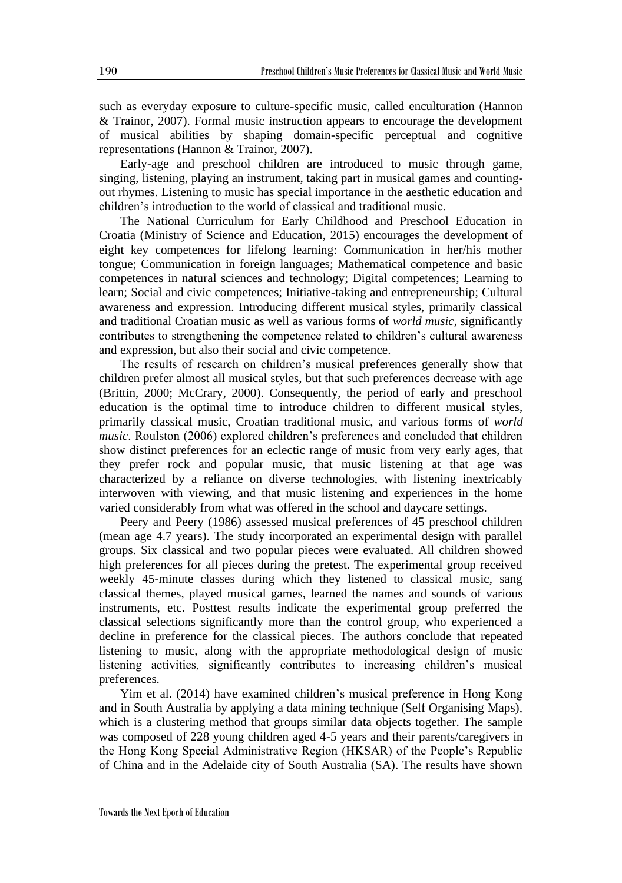such as everyday exposure to culture-specific music, called enculturation (Hannon & Trainor, 2007). Formal music instruction appears to encourage the development of musical abilities by shaping domain-specific perceptual and cognitive representations (Hannon & Trainor, 2007).

Early-age and preschool children are introduced to music through game, singing, listening, playing an instrument, taking part in musical games and countingout rhymes. Listening to music has special importance in the aesthetic education and children's introduction to the world of classical and traditional music.

The National Curriculum for Early Childhood and Preschool Education in Croatia (Ministry of Science and Education, 2015) encourages the development of eight key competences for lifelong learning: Communication in her/his mother tongue; Communication in foreign languages; Mathematical competence and basic competences in natural sciences and technology; Digital competences; Learning to learn; Social and civic competences; Initiative-taking and entrepreneurship; Cultural awareness and expression. Introducing different musical styles, primarily classical and traditional Croatian music as well as various forms of *world music*, significantly contributes to strengthening the competence related to children's cultural awareness and expression, but also their social and civic competence.

The results of research on children's musical preferences generally show that children prefer almost all musical styles, but that such preferences decrease with age (Brittin, 2000; McCrary, 2000). Consequently, the period of early and preschool education is the optimal time to introduce children to different musical styles, primarily classical music, Croatian traditional music, and various forms of *world music*. Roulston (2006) explored children's preferences and concluded that children show distinct preferences for an eclectic range of music from very early ages, that they prefer rock and popular music, that music listening at that age was characterized by a reliance on diverse technologies, with listening inextricably interwoven with viewing, and that music listening and experiences in the home varied considerably from what was offered in the school and daycare settings.

Peery and Peery (1986) assessed musical preferences of 45 preschool children (mean age 4.7 years). The study incorporated an experimental design with parallel groups. Six classical and two popular pieces were evaluated. All children showed high preferences for all pieces during the pretest. The experimental group received weekly 45-minute classes during which they listened to classical music, sang classical themes, played musical games, learned the names and sounds of various instruments, etc. Posttest results indicate the experimental group preferred the classical selections significantly more than the control group, who experienced a decline in preference for the classical pieces. The authors conclude that repeated listening to music, along with the appropriate methodological design of music listening activities, significantly contributes to increasing children's musical preferences.

Yim et al. (2014) have examined children's musical preference in Hong Kong and in South Australia by applying a data mining technique (Self Organising Maps), which is a clustering method that groups similar data objects together. The sample was composed of 228 young children aged 4-5 years and their parents/caregivers in the Hong Kong Special Administrative Region (HKSAR) of the People's Republic of China and in the Adelaide city of South Australia (SA). The results have shown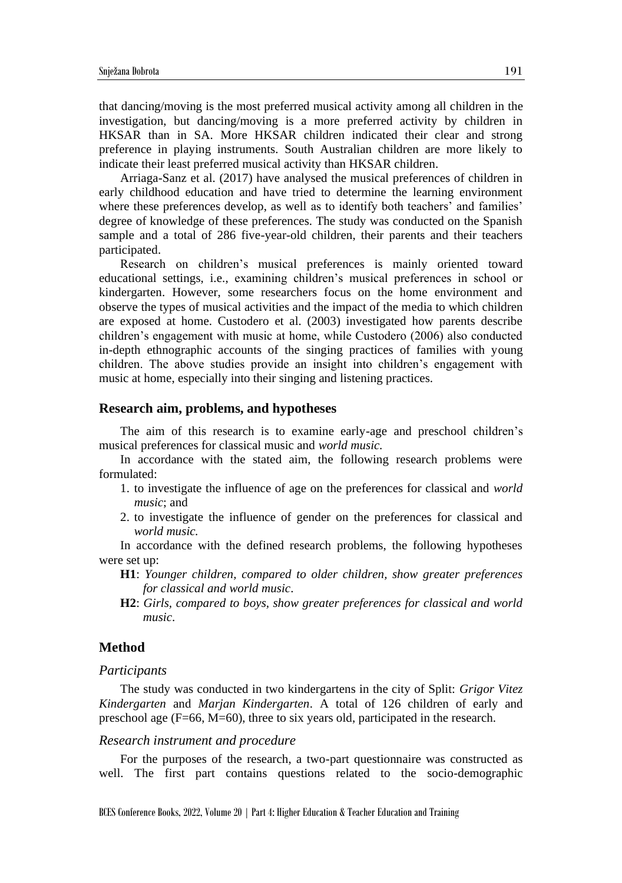that dancing/moving is the most preferred musical activity among all children in the investigation, but dancing/moving is a more preferred activity by children in HKSAR than in SA. More HKSAR children indicated their clear and strong preference in playing instruments. South Australian children are more likely to indicate their least preferred musical activity than HKSAR children.

Arriaga-Sanz et al. (2017) have analysed the musical preferences of children in early childhood education and have tried to determine the learning environment where these preferences develop, as well as to identify both teachers' and families' degree of knowledge of these preferences. The study was conducted on the Spanish sample and a total of 286 five-year-old children, their parents and their teachers participated.

Research on children's musical preferences is mainly oriented toward educational settings, i.e., examining children's musical preferences in school or kindergarten. However, some researchers focus on the home environment and observe the types of musical activities and the impact of the media to which children are exposed at home. Custodero et al. (2003) investigated how parents describe children's engagement with music at home, while Custodero (2006) also conducted in-depth ethnographic accounts of the singing practices of families with young children. The above studies provide an insight into children's engagement with music at home, especially into their singing and listening practices.

### **Research aim, problems, and hypotheses**

The aim of this research is to examine early-age and preschool children's musical preferences for classical music and *world music.*

In accordance with the stated aim, the following research problems were formulated:

- 1. to investigate the influence of age on the preferences for classical and *world music*; and
- 2. to investigate the influence of gender on the preferences for classical and *world music.*

In accordance with the defined research problems, the following hypotheses were set up:

- **H1**: *Younger children, compared to older children, show greater preferences for classical and world music*.
- **H2**: *Girls, compared to boys, show greater preferences for classical and world music*.

### **Method**

#### *Participants*

The study was conducted in two kindergartens in the city of Split: *Grigor Vitez Kindergarten* and *Marjan Kindergarten*. A total of 126 children of early and preschool age (F=66, M=60), three to six years old, participated in the research.

#### *Research instrument and procedure*

For the purposes of the research, a two-part questionnaire was constructed as well. The first part contains questions related to the socio-demographic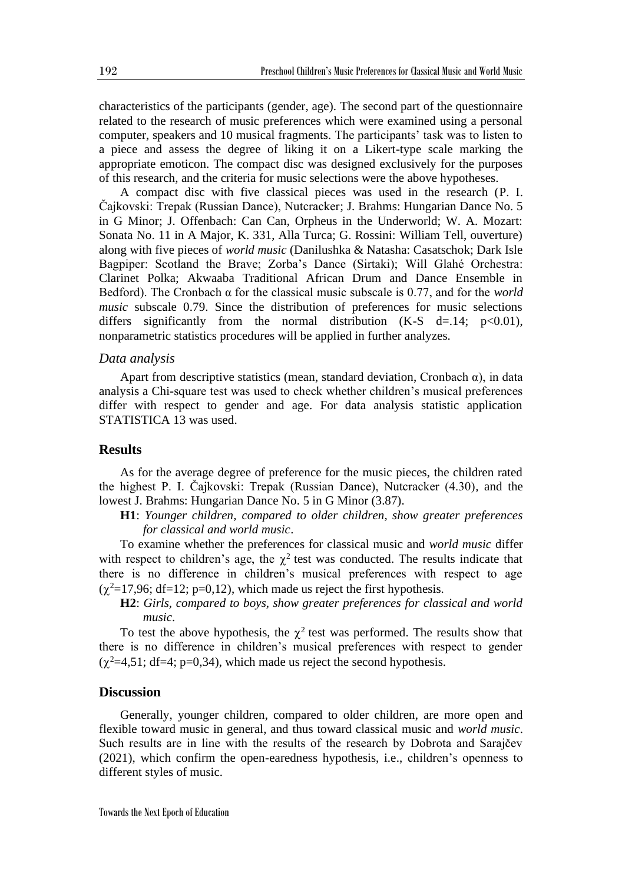characteristics of the participants (gender, age). The second part of the questionnaire related to the research of music preferences which were examined using a personal computer, speakers and 10 musical fragments. The participants' task was to listen to a piece and assess the degree of liking it on a Likert-type scale marking the appropriate emoticon. The compact disc was designed exclusively for the purposes of this research, and the criteria for music selections were the above hypotheses.

A compact disc with five classical pieces was used in the research (P. I. Čajkovski: Trepak (Russian Dance), Nutcracker; J. Brahms: Hungarian Dance No. 5 in G Minor; J. Offenbach: Can Can, Orpheus in the Underworld; W. A. Mozart: Sonata No. 11 in A Major, K. 331, Alla Turca; G. Rossini: William Tell, ouverture) along with five pieces of *world music* (Danilushka & Natasha: Casatschok; Dark Isle Bagpiper: Scotland the Brave; Zorba's Dance (Sirtaki); Will Glahé Orchestra: Clarinet Polka; Akwaaba Traditional African Drum and Dance Ensemble in Bedford). The Cronbach α for the classical music subscale is 0.77, and for the *world music* subscale 0.79. Since the distribution of preferences for music selections differs significantly from the normal distribution (K-S d=.14;  $p<0.01$ ), nonparametric statistics procedures will be applied in further analyzes.

### *Data analysis*

Apart from descriptive statistics (mean, standard deviation, Cronbach  $\alpha$ ), in data analysis a Chi-square test was used to check whether children's musical preferences differ with respect to gender and age. For data analysis statistic application STATISTICA 13 was used.

### **Results**

As for the average degree of preference for the music pieces, the children rated the highest P. I. Čajkovski: Trepak (Russian Dance), Nutcracker (4.30)*,* and the lowest J. Brahms: Hungarian Dance No. 5 in G Minor (3.87).

**H1**: *Younger children, compared to older children, show greater preferences for classical and world music*.

To examine whether the preferences for classical music and *world music* differ with respect to children's age, the  $\chi^2$  test was conducted. The results indicate that there is no difference in children's musical preferences with respect to age  $(\chi^2=17,96; df=12; p=0,12)$ , which made us reject the first hypothesis.

**H2**: *Girls, compared to boys, show greater preferences for classical and world music*.

To test the above hypothesis, the  $\chi^2$  test was performed. The results show that there is no difference in children's musical preferences with respect to gender  $(\chi^2=4,51; df=4; p=0,34)$ , which made us reject the second hypothesis.

### **Discussion**

Generally, younger children, compared to older children, are more open and flexible toward music in general, and thus toward classical music and *world music*. Such results are in line with the results of the research by Dobrota and Sarajčev (2021), which confirm the open-earedness hypothesis, i.e., children's openness to different styles of music.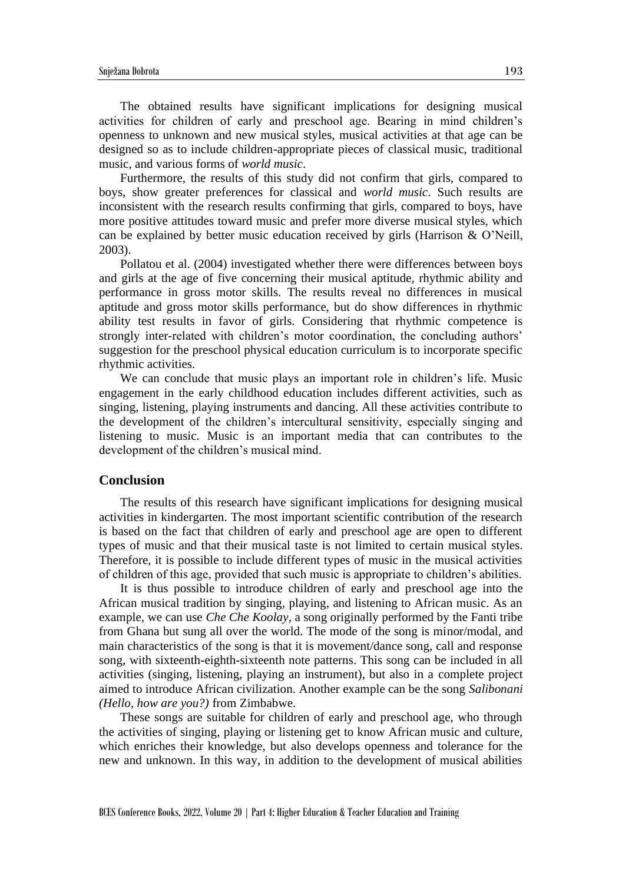The obtained results have significant implications for designing musical activities for children of early and preschool age. Bearing in mind children's openness to unknown and new musical styles, musical activities at that age can be designed so as to include children-appropriate pieces of classical music, traditional music, and various forms of *world music*.

Furthermore, the results of this study did not confirm that girls, compared to boys, show greater preferences for classical and *world music*. Such results are inconsistent with the research results confirming that girls, compared to boys, have more positive attitudes toward music and prefer more diverse musical styles, which can be explained by better music education received by girls (Harrison & O'Neill, 2003).

Pollatou et al. (2004) investigated whether there were differences between boys and girls at the age of five concerning their musical aptitude, rhythmic ability and performance in gross motor skills. The results reveal no differences in musical aptitude and gross motor skills performance, but do show differences in rhythmic ability test results in favor of girls. Considering that rhythmic competence is strongly inter-related with children's motor coordination, the concluding authors' suggestion for the preschool physical education curriculum is to incorporate specific rhythmic activities.

We can conclude that music plays an important role in children's life. Music engagement in the early childhood education includes different activities, such as singing, listening, playing instruments and dancing. All these activities contribute to the development of the children's intercultural sensitivity, especially singing and listening to music. Music is an important media that can contributes to the development of the children's musical mind.

#### **Conclusion**

The results of this research have significant implications for designing musical activities in kindergarten. The most important scientific contribution of the research is based on the fact that children of early and preschool age are open to different types of music and that their musical taste is not limited to certain musical styles. Therefore, it is possible to include different types of music in the musical activities of children of this age, provided that such music is appropriate to children's abilities.

It is thus possible to introduce children of early and preschool age into the African musical tradition by singing, playing, and listening to African music. As an example, we can use *Che Che Koolay*, a song originally performed by the Fanti tribe from Ghana but sung all over the world. The mode of the song is minor/modal, and main characteristics of the song is that it is movement/dance song, call and response song, with sixteenth-eighth-sixteenth note patterns. This song can be included in all activities (singing, listening, playing an instrument), but also in a complete project aimed to introduce African civilization. Another example can be the song *Salibonani (Hello, how are you?)* from Zimbabwe.

These songs are suitable for children of early and preschool age, who through the activities of singing, playing or listening get to know African music and culture, which enriches their knowledge, but also develops openness and tolerance for the new and unknown. In this way, in addition to the development of musical abilities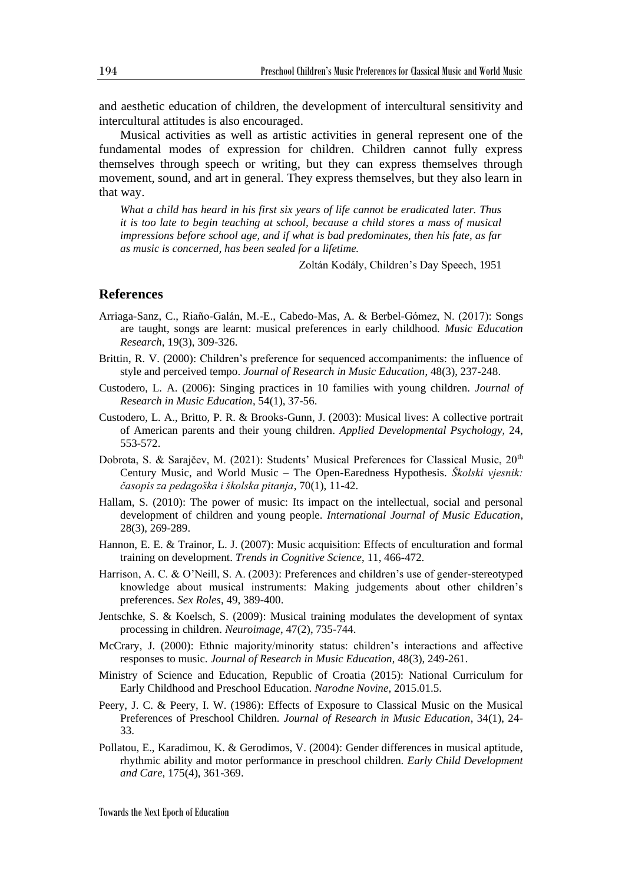and aesthetic education of children, the development of intercultural sensitivity and intercultural attitudes is also encouraged.

Musical activities as well as artistic activities in general represent one of the fundamental modes of expression for children. Children cannot fully express themselves through speech or writing, but they can express themselves through movement, sound, and art in general. They express themselves, but they also learn in that way.

*What a child has heard in his first six years of life cannot be eradicated later. Thus it is too late to begin teaching at school, because a child stores a mass of musical impressions before school age, and if what is bad predominates, then his fate, as far as music is concerned, has been sealed for a lifetime.*

Zoltán Kodály, Children's Day Speech, 1951

### **References**

- Arriaga-Sanz, C., Riaño-Galán, M.-E., Cabedo-Mas, A. & Berbel-Gómez, N. (2017): Songs are taught, songs are learnt: musical preferences in early childhood. *Music Education Research*, 19(3), 309-326.
- Brittin, R. V. (2000): Children's preference for sequenced accompaniments: the influence of style and perceived tempo. *Journal of Research in Music Education*, 48(3), 237-248.
- Custodero, L. A. (2006): Singing practices in 10 families with young children. *Journal of Research in Music Education*, 54(1), 37-56.
- Custodero, L. A., Britto, P. R. & Brooks-Gunn, J. (2003): Musical lives: A collective portrait of American parents and their young children. *Applied Developmental Psychology*, 24, 553-572.
- Dobrota, S. & Sarajčev, M. (2021): Students' Musical Preferences for Classical Music, 20<sup>th</sup> Century Music, and World Music – The Open-Earedness Hypothesis. *Školski vjesnik: časopis za pedagoška i školska pitanja*, 70(1), 11-42.
- Hallam, S. (2010): The power of music: Its impact on the intellectual, social and personal development of children and young people. *International Journal of Music Education*, 28(3), 269-289.
- Hannon, E. E. & Trainor, L. J. (2007): Music acquisition: Effects of enculturation and formal training on development. *Trends in Cognitive Science*, 11, 466-472.
- Harrison, A. C. & O'Neill, S. A. (2003): Preferences and children's use of gender-stereotyped knowledge about musical instruments: Making judgements about other children's preferences. *Sex Roles*, 49, 389-400.
- Jentschke, S. & Koelsch, S. (2009): Musical training modulates the development of syntax processing in children. *Neuroimage*, 47(2), 735-744.
- McCrary, J. (2000): Ethnic majority/minority status: children's interactions and affective responses to music. *Journal of Research in Music Education*, 48(3), 249-261.
- Ministry of Science and Education, Republic of Croatia (2015): National Curriculum for Early Childhood and Preschool Education. *Narodne Novine*, 2015.01.5.
- Peery, J. C. & Peery, I. W. (1986): Effects of Exposure to Classical Music on the Musical Preferences of Preschool Children. *Journal of Research in Music Education*, 34(1), 24- 33.
- Pollatou, E., Karadimou, K. & Gerodimos, V. (2004): Gender differences in musical aptitude, rhythmic ability and motor performance in preschool children. *Early Child Development and Care*, 175(4), 361-369.